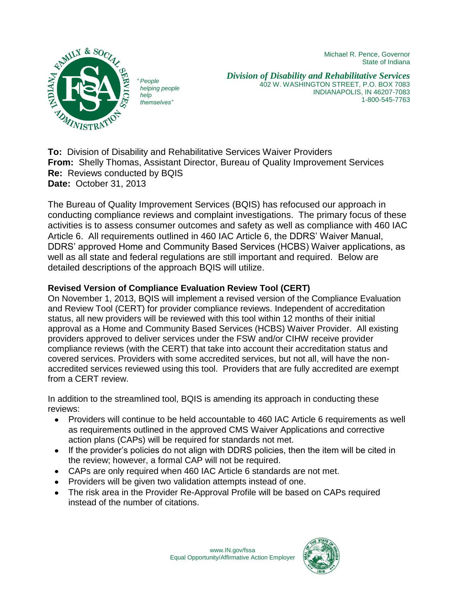Michael R. Pence, Governor State of Indiana



*" People helping people help themselves"*

*Division of Disability and Rehabilitative Services* 402 W. WASHINGTON STREET, P.O. BOX 7083 INDIANAPOLIS, IN 46207-7083 1-800-545-7763

**To:** Division of Disability and Rehabilitative Services Waiver Providers **From:** Shelly Thomas, Assistant Director, Bureau of Quality Improvement Services **Re:** Reviews conducted by BQIS **Date:** October 31, 2013

The Bureau of Quality Improvement Services (BQIS) has refocused our approach in conducting compliance reviews and complaint investigations. The primary focus of these activities is to assess consumer outcomes and safety as well as compliance with 460 IAC Article 6. All requirements outlined in 460 IAC Article 6, the DDRS' Waiver Manual, DDRS' approved Home and Community Based Services (HCBS) Waiver applications, as well as all state and federal regulations are still important and required. Below are detailed descriptions of the approach BQIS will utilize.

### **Revised Version of Compliance Evaluation Review Tool (CERT)**

On November 1, 2013, BQIS will implement a revised version of the Compliance Evaluation and Review Tool (CERT) for provider compliance reviews. Independent of accreditation status, all new providers will be reviewed with this tool within 12 months of their initial approval as a Home and Community Based Services (HCBS) Waiver Provider. All existing providers approved to deliver services under the FSW and/or CIHW receive provider compliance reviews (with the CERT) that take into account their accreditation status and covered services. Providers with some accredited services, but not all, will have the nonaccredited services reviewed using this tool. Providers that are fully accredited are exempt from a CERT review.

In addition to the streamlined tool, BQIS is amending its approach in conducting these reviews:

- Providers will continue to be held accountable to 460 IAC Article 6 requirements as well as requirements outlined in the approved CMS Waiver Applications and corrective action plans (CAPs) will be required for standards not met.
- If the provider's policies do not align with DDRS policies, then the item will be cited in the review; however, a formal CAP will not be required.
- CAPs are only required when 460 IAC Article 6 standards are not met.
- Providers will be given two validation attempts instead of one.
- The risk area in the Provider Re-Approval Profile will be based on CAPs required  $\bullet$ instead of the number of citations.

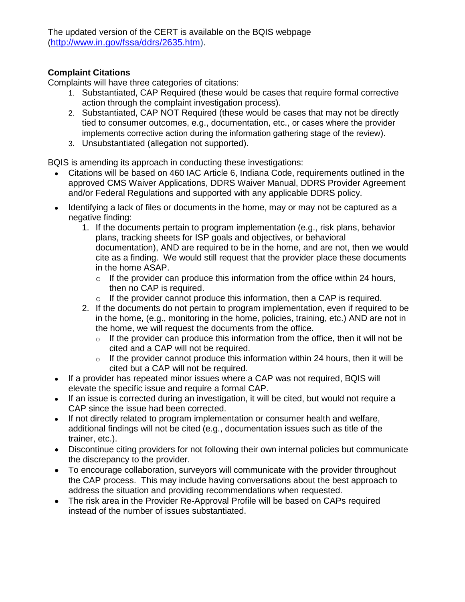The updated version of the CERT is available on the BQIS webpage ([http://www.in.gov/fssa/ddrs/2635.htm\)](http://www.in.gov/fssa/ddrs/2635.htm).

#### **Complaint Citations**

Complaints will have three categories of citations:

- 1. Substantiated, CAP Required (these would be cases that require formal corrective action through the complaint investigation process).
- 2. Substantiated, CAP NOT Required (these would be cases that may not be directly tied to consumer outcomes, e.g., documentation, etc., or cases where the provider implements corrective action during the information gathering stage of the review).
- 3. Unsubstantiated (allegation not supported).

BQIS is amending its approach in conducting these investigations:

- Citations will be based on 460 IAC Article 6, Indiana Code, requirements outlined in the approved CMS Waiver Applications, DDRS Waiver Manual, DDRS Provider Agreement and/or Federal Regulations and supported with any applicable DDRS policy.
- Identifying a lack of files or documents in the home, may or may not be captured as a negative finding:
	- 1. If the documents pertain to program implementation (e.g., risk plans, behavior plans, tracking sheets for ISP goals and objectives, or behavioral documentation), AND are required to be in the home, and are not, then we would cite as a finding. We would still request that the provider place these documents in the home ASAP.
		- $\circ$  If the provider can produce this information from the office within 24 hours, then no CAP is required.
		- $\circ$  If the provider cannot produce this information, then a CAP is required.
	- 2. If the documents do not pertain to program implementation, even if required to be in the home, (e.g., monitoring in the home, policies, training, etc.) AND are not in the home, we will request the documents from the office.
		- $\circ$  If the provider can produce this information from the office, then it will not be cited and a CAP will not be required.
		- $\circ$  If the provider cannot produce this information within 24 hours, then it will be cited but a CAP will not be required.
- If a provider has repeated minor issues where a CAP was not required, BQIS will elevate the specific issue and require a formal CAP.
- If an issue is corrected during an investigation, it will be cited, but would not require a CAP since the issue had been corrected.
- If not directly related to program implementation or consumer health and welfare, additional findings will not be cited (e.g., documentation issues such as title of the trainer, etc.).
- Discontinue citing providers for not following their own internal policies but communicate the discrepancy to the provider.
- To encourage collaboration, surveyors will communicate with the provider throughout the CAP process. This may include having conversations about the best approach to address the situation and providing recommendations when requested.
- The risk area in the Provider Re-Approval Profile will be based on CAPs required instead of the number of issues substantiated.